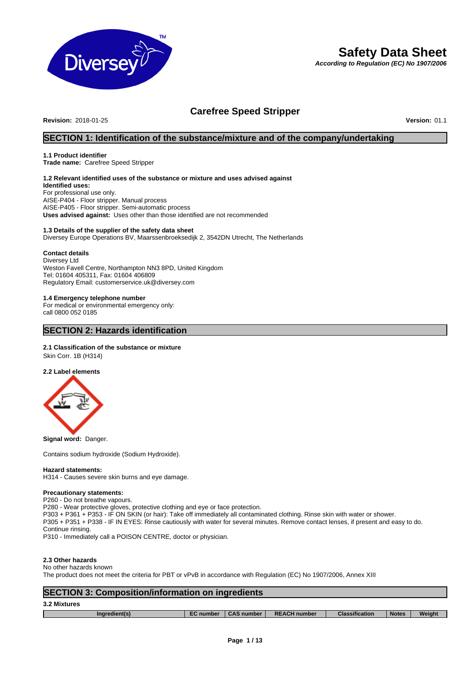

# **Safety Data Sheet**

*According to Regulation (EC) No 1907/2006*

## **Carefree Speed Stripper**

**Revision:** 2018-01-25 **Version:** 01.1

## **SECTION 1: Identification of the substance/mixture and of the company/undertaking**

#### **1.1 Product identifier**

**Trade name:** Carefree Speed Stripper

## **1.2 Relevant identified uses of the substance or mixture and uses advised against**

**Identified uses:** For professional use only. AISE-P404 - Floor stripper. Manual process AISE-P405 - Floor stripper. Semi-automatic process **Uses advised against:** Uses other than those identified are not recommended

### **1.3 Details of the supplier of the safety data sheet**

Diversey Europe Operations BV, Maarssenbroeksedijk 2, 3542DN Utrecht, The Netherlands

#### **Contact details**

Diversey Ltd Weston Favell Centre, Northampton NN3 8PD, United Kingdom Tel: 01604 405311, Fax: 01604 406809 Regulatory Email: customerservice.uk@diversey.com

### **1.4 Emergency telephone number**

For medical or environmental emergency only: call 0800 052 0185

## **SECTION 2: Hazards identification**

#### **2.1 Classification of the substance or mixture**

Skin Corr. 1B (H314)

#### **2.2 Label elements**



**Signal word:** Danger.

Contains sodium hydroxide (Sodium Hydroxide).

#### **Hazard statements:**

H314 - Causes severe skin burns and eye damage.

#### **Precautionary statements:**

P260 - Do not breathe vapours.

P280 - Wear protective gloves, protective clothing and eye or face protection.

P303 + P361 + P353 - IF ON SKIN (or hair): Take off immediately all contaminated clothing. Rinse skin with water or shower.

P305 + P351 + P338 - IF IN EYES: Rinse cautiously with water for several minutes. Remove contact lenses, if present and easy to do. Continue rinsing.

P310 - Immediately call a POISON CENTRE, doctor or physician.

### **2.3 Other hazards**

#### No other hazards known

The product does not meet the criteria for PBT or vPvB in accordance with Regulation (EC) No 1907/2006, Annex XIII

## **SECTION 3: Composition/information on ingredients**

| 3.2 Mixtures |
|--------------|
|              |

Г

|  | ınaı | - - | aumbe <sup>.</sup> | <b>RE</b><br>number | $- - -$<br><b>u</b> cation | <b>Notes</b> | Weiaht |
|--|------|-----|--------------------|---------------------|----------------------------|--------------|--------|
|--|------|-----|--------------------|---------------------|----------------------------|--------------|--------|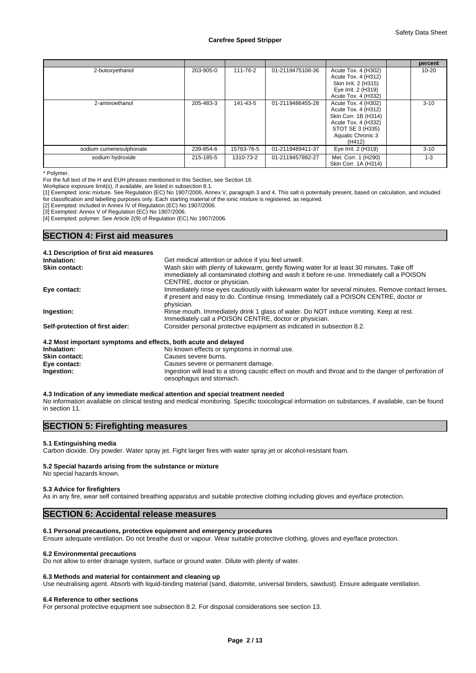|                         |           |            |                  |                                                                                                                                              | percent   |
|-------------------------|-----------|------------|------------------|----------------------------------------------------------------------------------------------------------------------------------------------|-----------|
| 2-butoxyethanol         | 203-905-0 | 111-76-2   | 01-2119475108-36 | Acute Tox. 4 (H302)<br>Acute Tox. 4 (H312)<br>Skin Irrit. 2 (H315)<br>Eye Irrit. 2 (H319)<br>Acute Tox. 4 (H332)                             | $10 - 20$ |
| 2-aminoethanol          | 205-483-3 | 141-43-5   | 01-2119486455-28 | Acute Tox. 4 (H302)<br>Acute Tox. 4 (H312)<br>Skin Corr. 1B (H314)<br>Acute Tox. 4 (H332)<br>STOT SE 3 (H335)<br>Aquatic Chronic 3<br>(H412) | $3 - 10$  |
| sodium cumenesulphonate | 239-854-6 | 15763-76-5 | 01-2119489411-37 | Eye Irrit. 2 (H319)                                                                                                                          | $3 - 10$  |
| sodium hydroxide        | 215-185-5 | 1310-73-2  | 01-2119457892-27 | Met. Corr. 1 (H290)<br>Skin Corr. 1A (H314)                                                                                                  | $1 - 3$   |

\* Polymer.

For the full text of the H and EUH phrases mentioned in this Section, see Section 16.

Workplace exposure limit(s), if available, are listed in subsection 8.1.

[1] Exempted: ionic mixture. See Regulation (EC) No 1907/2006, Annex V, paragraph 3 and 4. This salt is potentially present, based on calculation, and included for classification and labelling purposes only. Each starting material of the ionic mixture is registered, as required.

[2] Exempted: included in Annex IV of Regulation (EC) No 1907/2006.

[3] Exempted: Annex V of Regulation (EC) No 1907/2006.

[4] Exempted: polymer. See Article 2(9) of Regulation (EC) No 1907/2006.

## **SECTION 4: First aid measures**

| 4.1 Description of first aid measures                           |                                                                                                   |
|-----------------------------------------------------------------|---------------------------------------------------------------------------------------------------|
| Inhalation:                                                     | Get medical attention or advice if you feel unwell.                                               |
| Skin contact:                                                   | Wash skin with plenty of lukewarm, gently flowing water for at least 30 minutes. Take off         |
|                                                                 | immediately all contaminated clothing and wash it before re-use. Immediately call a POISON        |
|                                                                 | CENTRE, doctor or physician.                                                                      |
| Eye contact:                                                    | Immediately rinse eyes cautiously with lukewarm water for several minutes. Remove contact lenses, |
|                                                                 | if present and easy to do. Continue rinsing. Immediately call a POISON CENTRE, doctor or          |
|                                                                 | physician.                                                                                        |
| Ingestion:                                                      | Rinse mouth. Immediately drink 1 glass of water. Do NOT induce vomiting. Keep at rest.            |
|                                                                 | Immediately call a POISON CENTRE, doctor or physician.                                            |
| Self-protection of first aider:                                 | Consider personal protective equipment as indicated in subsection 8.2.                            |
| 4.2 Most important symptoms and effects, both acute and delayed |                                                                                                   |
| Inhalation:                                                     | No known effects or symptoms in normal use.                                                       |
| <b>Skin contact:</b>                                            | Causes severe burns.                                                                              |

**Eye contact:** Causes severe or permanent damage. **Ingestion:** Ingestion will lead to a strong caustic effect on mouth and throat and to the danger of perforation of oesophagus and stomach.

#### **4.3 Indication of any immediate medical attention and special treatment needed**

No information available on clinical testing and medical monitoring. Specific toxicological information on substances, if available, can be found in section 11.

### **SECTION 5: Firefighting measures**

### **5.1 Extinguishing media**

Carbon dioxide. Dry powder. Water spray jet. Fight larger fires with water spray jet or alcohol-resistant foam.

#### **5.2 Special hazards arising from the substance or mixture**

No special hazards known.

#### **5.3 Advice for firefighters**

As in any fire, wear self contained breathing apparatus and suitable protective clothing including gloves and eye/face protection.

### **SECTION 6: Accidental release measures**

#### **6.1 Personal precautions, protective equipment and emergency procedures**

Ensure adequate ventilation. Do not breathe dust or vapour. Wear suitable protective clothing, gloves and eye/face protection.

#### **6.2 Environmental precautions**

Do not allow to enter drainage system, surface or ground water. Dilute with plenty of water.

#### **6.3 Methods and material for containment and cleaning up**

Use neutralising agent. Absorb with liquid-binding material (sand, diatomite, universal binders, sawdust). Ensure adequate ventilation.

#### **6.4 Reference to other sections**

For personal protective equipment see subsection 8.2. For disposal considerations see section 13.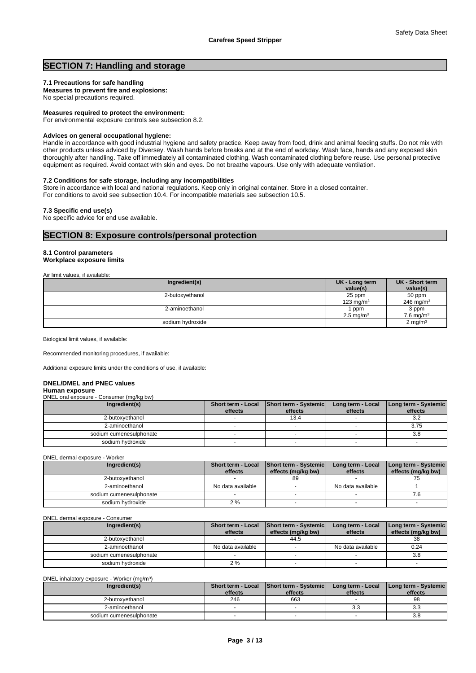## **SECTION 7: Handling and storage**

### **7.1 Precautions for safe handling**

**Measures to prevent fire and explosions:** No special precautions required.

**Measures required to protect the environment:**

For environmental exposure controls see subsection 8.2.

#### **Advices on general occupational hygiene:**

Handle in accordance with good industrial hygiene and safety practice. Keep away from food, drink and animal feeding stuffs. Do not mix with other products unless adviced by Diversey. Wash hands before breaks and at the end of workday. Wash face, hands and any exposed skin thoroughly after handling. Take off immediately all contaminated clothing. Wash contaminated clothing before reuse. Use personal protective equipment as required. Avoid contact with skin and eyes. Do not breathe vapours. Use only with adequate ventilation.

#### **7.2 Conditions for safe storage, including any incompatibilities**

Store in accordance with local and national regulations. Keep only in original container. Store in a closed container. For conditions to avoid see subsection 10.4. For incompatible materials see subsection 10.5.

#### **7.3 Specific end use(s)**

No specific advice for end use available.

## **SECTION 8: Exposure controls/personal protection**

#### **8.1 Control parameters Workplace exposure limits**

#### Air limit values, if available:

| .                |                         |                       |
|------------------|-------------------------|-----------------------|
| Ingredient(s)    | UK - Long term          | UK - Short term       |
|                  | value(s)                | value(s)              |
| 2-butoxyethanol  | 25 ppm                  | 50 ppm                |
|                  | 123 mg/m $3$            | 246 mg/m <sup>3</sup> |
| 2-aminoethanol   | ppm                     | 3 ppm                 |
|                  | $2.5 \,\mathrm{mq/m^3}$ | 7.6 mg/m $3$          |
| sodium hydroxide |                         | 2 mg/m $3$            |
|                  |                         |                       |

Biological limit values, if available:

Recommended monitoring procedures, if available:

Additional exposure limits under the conditions of use, if available:

#### **DNEL/DMEL and PNEC values**

#### **Human exposure**

DNEL oral exposure - Consumer (mg/kg bw)

| Ingredient(s)           | effects | Short term - Local   Short term - Systemic  <br>effects | Long term - Local<br>effects | Long term - Systemic<br>effects |
|-------------------------|---------|---------------------------------------------------------|------------------------------|---------------------------------|
| 2-butoxvethanol         |         | 13.4                                                    |                              | 3.2                             |
| 2-aminoethanol          |         |                                                         |                              | 3.75                            |
| sodium cumenesulphonate |         |                                                         |                              | 3.8                             |
| sodium hvdroxide        |         |                                                         |                              |                                 |

DNEL dermal exposure - Worker

| Ingredient(s)           | Short term - Local<br>effects | Short term - Systemic<br>effects (mg/kg bw) | Long term - Local<br>effects | Long term - Systemic<br>effects (mg/kg bw) |
|-------------------------|-------------------------------|---------------------------------------------|------------------------------|--------------------------------------------|
| 2-butoxvethanol         |                               | 89                                          |                              |                                            |
| 2-aminoethanol          | No data available             |                                             | No data available            |                                            |
| sodium cumenesulphonate |                               |                                             |                              |                                            |
| sodium hydroxide        | 2%                            |                                             |                              |                                            |

#### DNEL dermal exposure - Consumer

| Ingredient(s)           | <b>Short term - Local</b><br>effects | Short term - Systemic<br>effects (mg/kg bw) | Long term - Local<br>effects | Long term - Systemic<br>effects (mg/kg bw) |
|-------------------------|--------------------------------------|---------------------------------------------|------------------------------|--------------------------------------------|
| 2-butoxvethanol         |                                      | 44.5                                        |                              | 38                                         |
| 2-aminoethanol          | No data available                    |                                             | No data available            | 0.24                                       |
| sodium cumenesulphonate |                                      |                                             |                              | 3.8                                        |
| sodium hydroxide        | 2 %                                  |                                             |                              |                                            |

#### DNEL inhalatory exposure - Worker (mg/m<sup>3</sup> )

| Ingredient(s)           | effects | Short term - Local Short term - Systemic<br>effects | Long term - Local<br>effects | <b>I Long term - Systemic I</b><br>effects |
|-------------------------|---------|-----------------------------------------------------|------------------------------|--------------------------------------------|
| 2-butoxvethanol         | 246     | 663                                                 |                              | 98                                         |
| 2-aminoethanol          |         |                                                     | J.J                          | ა.ა                                        |
| sodium cumenesulphonate |         |                                                     |                              | 3.8                                        |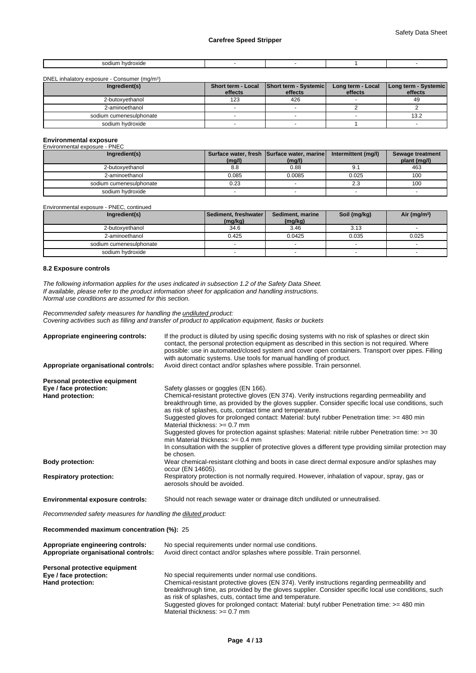| sodium<br>hvdroxide<br>.<br>. |  |  |
|-------------------------------|--|--|
|                               |  |  |

#### DNEL inhalatory exposure - Consumer (mg/m<sup>3</sup>  $)$

| Ingredient(s)           |         | Short term - Local   Short term - Systemic | Long term - Local | Long term - Systemic |
|-------------------------|---------|--------------------------------------------|-------------------|----------------------|
|                         | effects | effects                                    | effects           | effects              |
| 2-butoxvethanol         | 123     | 426                                        |                   | 49                   |
| 2-aminoethanol          |         |                                            |                   |                      |
| sodium cumenesulphonate |         |                                            |                   | 13.2                 |
| sodium hydroxide        |         |                                            |                   |                      |

| <b>Environmental exposure</b> |        |                                                      |                     |                                  |
|-------------------------------|--------|------------------------------------------------------|---------------------|----------------------------------|
| Environmental exposure - PNEC |        |                                                      |                     |                                  |
| Ingredient(s)                 | (mg/l) | Surface water, fresh Surface water, marine<br>(mg/l) | Intermittent (mg/l) | Sewage treatment<br>plant (mg/l) |
| 2-butoxvethanol               | 8.8    | 0.88                                                 | 9.1                 | 463                              |
| 2-aminoethanol                | 0.085  | 0.0085                                               | 0.025               | 100                              |
| sodium cumenesulphonate       | 0.23   |                                                      | 2.3                 | 100                              |
| sodium hydroxide              |        |                                                      |                     |                                  |

Environmental exposure - PNEC, continued

| Ingredient(s)           | Sediment, freshwater | Sediment, marine | Soil (mg/kg) | Air (mg/m <sup>3</sup> ) |  |
|-------------------------|----------------------|------------------|--------------|--------------------------|--|
|                         | (mg/kg)              | (mg/kg)          |              |                          |  |
| 2-butoxyethanol         | 34.6                 | 3.46             | 3.13         |                          |  |
| 2-aminoethanol          | 0.425                | 0.0425           | 0.035        | 0.025                    |  |
| sodium cumenesulphonate |                      |                  |              |                          |  |
| sodium hydroxide        |                      |                  |              |                          |  |

#### **8.2 Exposure controls**

*The following information applies for the uses indicated in subsection 1.2 of the Safety Data Sheet. If available, please refer to the product information sheet for application and handling instructions. Normal use conditions are assumed for this section.*

*Recommended safety measures for handling the undiluted product: Covering activities such as filling and transfer of product to application equipment, flasks or buckets*

| Appropriate engineering controls:       | If the product is diluted by using specific dosing systems with no risk of splashes or direct skin<br>contact, the personal protection equipment as described in this section is not required. Where<br>possible: use in automated/closed system and cover open containers. Transport over pipes. Filling<br>with automatic systems. Use tools for manual handling of product.                                                                                                                                                                                                                                                                                |
|-----------------------------------------|---------------------------------------------------------------------------------------------------------------------------------------------------------------------------------------------------------------------------------------------------------------------------------------------------------------------------------------------------------------------------------------------------------------------------------------------------------------------------------------------------------------------------------------------------------------------------------------------------------------------------------------------------------------|
| Appropriate organisational controls:    | Avoid direct contact and/or splashes where possible. Train personnel.                                                                                                                                                                                                                                                                                                                                                                                                                                                                                                                                                                                         |
| Personal protective equipment           |                                                                                                                                                                                                                                                                                                                                                                                                                                                                                                                                                                                                                                                               |
| Eye / face protection:                  | Safety glasses or goggles (EN 166).                                                                                                                                                                                                                                                                                                                                                                                                                                                                                                                                                                                                                           |
| Hand protection:                        | Chemical-resistant protective gloves (EN 374). Verify instructions regarding permeability and<br>breakthrough time, as provided by the gloves supplier. Consider specific local use conditions, such<br>as risk of splashes, cuts, contact time and temperature.<br>Suggested gloves for prolonged contact: Material: butyl rubber Penetration time: >= 480 min<br>Material thickness: $>= 0.7$ mm<br>Suggested gloves for protection against splashes: Material: nitrile rubber Penetration time: >= 30<br>min Material thickness: $\geq 0.4$ mm<br>In consultation with the supplier of protective gloves a different type providing similar protection may |
|                                         | be chosen.                                                                                                                                                                                                                                                                                                                                                                                                                                                                                                                                                                                                                                                    |
| <b>Body protection:</b>                 | Wear chemical-resistant clothing and boots in case direct dermal exposure and/or splashes may<br>occur (EN 14605).                                                                                                                                                                                                                                                                                                                                                                                                                                                                                                                                            |
| <b>Respiratory protection:</b>          | Respiratory protection is not normally required. However, inhalation of vapour, spray, gas or<br>aerosols should be avoided.                                                                                                                                                                                                                                                                                                                                                                                                                                                                                                                                  |
| <b>Environmental exposure controls:</b> | Should not reach sewage water or drainage ditch undiluted or unneutralised.                                                                                                                                                                                                                                                                                                                                                                                                                                                                                                                                                                                   |

*Recommended safety measures for handling the diluted product:*

#### **Recommended maximum concentration (%):** 25

| Appropriate engineering controls:<br>Appropriate organisational controls: | No special requirements under normal use conditions.<br>Avoid direct contact and/or splashes where possible. Train personnel. |  |  |  |  |
|---------------------------------------------------------------------------|-------------------------------------------------------------------------------------------------------------------------------|--|--|--|--|
| Personal protective equipment                                             |                                                                                                                               |  |  |  |  |
| Eye / face protection:                                                    | No special requirements under normal use conditions.                                                                          |  |  |  |  |
| Hand protection:                                                          | Chemical-resistant protective gloves (EN 374). Verify instructions regarding permeability and                                 |  |  |  |  |
|                                                                           | breakthrough time, as provided by the gloves supplier. Consider specific local use conditions, such                           |  |  |  |  |
|                                                                           | as risk of splashes, cuts, contact time and temperature.                                                                      |  |  |  |  |
|                                                                           | Suggested gloves for prolonged contact: Material: butyl rubber Penetration time: >= 480 min                                   |  |  |  |  |
|                                                                           | Material thickness: $>= 0.7$ mm                                                                                               |  |  |  |  |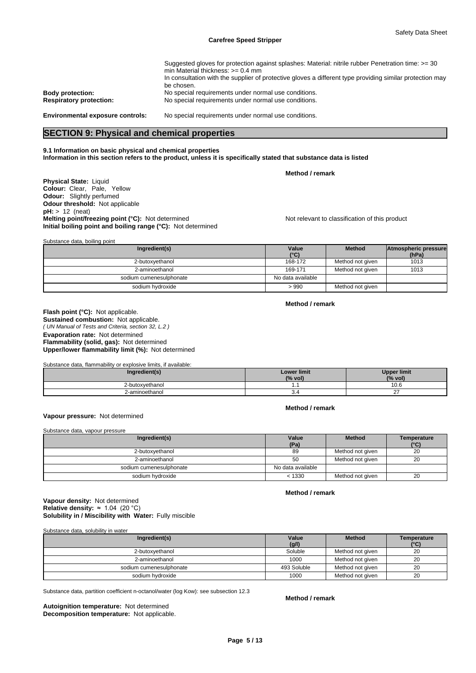| Suggested gloves for protection against splashes: Material: nitrile rubber Penetration time: >= 30<br>min Material thickness: $>= 0.4$ mm |
|-------------------------------------------------------------------------------------------------------------------------------------------|
| In consultation with the supplier of protective gloves a different type providing similar protection may                                  |
| be chosen.                                                                                                                                |
| No special requirements under normal use conditions.                                                                                      |
| No special requirements under normal use conditions.                                                                                      |
|                                                                                                                                           |
| No special requirements under normal use conditions.                                                                                      |
|                                                                                                                                           |

## **SECTION 9: Physical and chemical properties**

#### **9.1 Information on basic physical and chemical properties Information in this section refers to the product, unless it is specifically stated that substance data is listed**

**Method / remark**

**Physical State:** Liquid **Colour:** Clear, Pale, Yellow **Odour:** Slightly perfumed **Odour threshold:** Not applicable **pH:** > 12 (neat) **Melting point/freezing point (°C):** Not determined Not relevant to classification of this product **Initial boiling point and boiling range (°C):** Not determined

| Substance data, boiling point |                        |                  |                               |
|-------------------------------|------------------------|------------------|-------------------------------|
| Ingredient(s)                 | Value<br>$(^{\circ}C)$ | <b>Method</b>    | Atmospheric pressure<br>(hPa) |
| 2-butoxyethanol               | 168-172                | Method not given | 1013                          |
| 2-aminoethanol                | 169-171                | Method not given | 1013                          |
| sodium cumenesulphonate       | No data available      |                  |                               |
| sodium hydroxide              | >990                   | Method not given |                               |

## **Method / remark**

*( UN Manual of Tests and Criteria, section 32, L.2 )* **Flash point (°C):** Not applicable. **Sustained combustion:** Not applicable. **Evaporation rate:** Not determined **Flammability (solid, gas):** Not determined **Upper/lower flammability limit (%):** Not determined

Substance data, flammability or explosive limits, if available:

| ingredient(s)   | <b>Lower limit</b><br>(% vol) | <b>Upper limit</b><br>(% vol. |
|-----------------|-------------------------------|-------------------------------|
| 2-butoxvethanol |                               | ∣ ∪.∪                         |
| 2-aminoethanol  | ٥.4                           | $\sim$ $-$                    |

#### **Vapour pressure:** Not determined

Substance data, vapour pressure

| Ingredient(s)           | Value<br>(Pa)     | <b>Method</b>    | Temperature<br>(°C) |
|-------------------------|-------------------|------------------|---------------------|
| 2-butoxvethanol         | 89                | Method not given | 20                  |
| 2-aminoethanol          | 50                | Method not given | 20                  |
| sodium cumenesulphonate | No data available |                  |                     |
| sodium hvdroxide        | < 1330            | Method not given | 20                  |

**Solubility in / Miscibility with Water:** Fully miscible **Vapour density:** Not determined **Relative density:** ≈1.04(20°C)

Substance data, solubility in water

| Ingredient(s)           | Value<br>(g/l) | <b>Method</b>    | Temperature<br>(°C) |
|-------------------------|----------------|------------------|---------------------|
| 2-butoxyethanol         | Soluble        | Method not given | 20                  |
| 2-aminoethanol          | 1000           | Method not given | 20                  |
| sodium cumenesulphonate | 493 Soluble    | Method not given | 20                  |
| sodium hydroxide        | 1000           | Method not given | 20                  |

Substance data, partition coefficient n-octanol/water (log Kow): see subsection 12.3

**Decomposition temperature:** Not applicable. **Autoignition temperature:** Not determined

**Method / remark**

**Method / remark**

**Method / remark**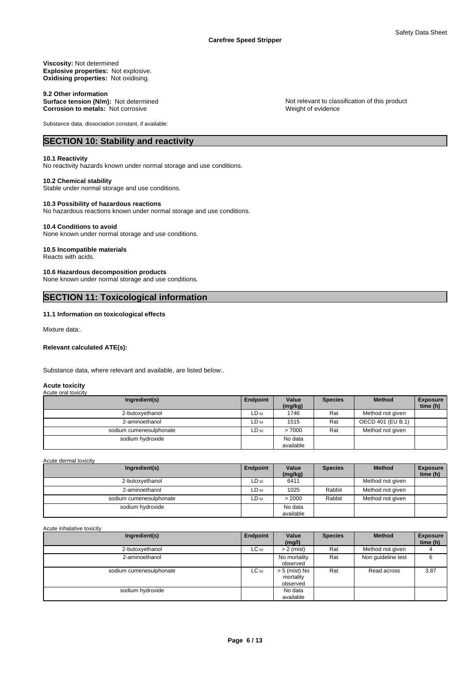#### **Viscosity:** Not determined **Explosive properties:** Not explosive. **Oxidising properties:** Not oxidising.

9.2 Other information<br>Surface tension (N/m): Not determined **Corrosion to metals:** Not corrosive

Substance data, dissociation constant, if available:

## **SECTION 10: Stability and reactivity**

#### **10.1 Reactivity**

No reactivity hazards known under normal storage and use conditions.

#### **10.2 Chemical stability**

Stable under normal storage and use conditions.

#### **10.3 Possibility of hazardous reactions**

No hazardous reactions known under normal storage and use conditions.

#### **10.4 Conditions to avoid**

None known under normal storage and use conditions.

## **10.5 Incompatible materials**

Reacts with acids.

#### **10.6 Hazardous decomposition products**

None known under normal storage and use conditions.

## **SECTION 11: Toxicological information**

### **11.1 Information on toxicological effects**

Mixture data:.

#### **Relevant calculated ATE(s):**

Substance data, where relevant and available, are listed below:.

#### **Acute toxicity** Acute oral toxicity

| Ingredient(s)           | Endpoint  | Value<br>(mg/kg) | <b>Species</b> | <b>Method</b>     | <b>Exposure</b><br>time (h) |
|-------------------------|-----------|------------------|----------------|-------------------|-----------------------------|
| 2-butoxyethanol         | $LD_{50}$ | 1746             | Rat            | Method not given  |                             |
| 2-aminoethanol          | LD 50     | 1515             | Rat            | OECD 401 (EU B.1) |                             |
| sodium cumenesulphonate | LD 50     | >7000            | Rat            | Method not given  |                             |
| sodium hydroxide        |           | No data          |                |                   |                             |
|                         |           | available        |                |                   |                             |

Acute dermal toxicity

| Ingredient(s)           | Endpoint  | Value<br>(mg/kg) | <b>Species</b> | <b>Method</b>    | <b>Exposure</b><br>time (h) |
|-------------------------|-----------|------------------|----------------|------------------|-----------------------------|
| 2-butoxvethanol         | LD 50     | 6411             |                | Method not given |                             |
| 2-aminoethanol          | $LD_{50}$ | 1025             | Rabbit         | Method not given |                             |
| sodium cumenesulphonate | LD 50     | > 2000           | Rabbit         | Method not given |                             |
| sodium hydroxide        |           | No data          |                |                  |                             |
|                         |           | available        |                |                  |                             |

Acute inhalative toxicity

| Ingredient(s)           | Endpoint  | Value<br>(mg/l)                        | <b>Species</b> | <b>Method</b>      | <b>Exposure</b><br>time (h) |
|-------------------------|-----------|----------------------------------------|----------------|--------------------|-----------------------------|
| 2-butoxyethanol         | $LC_{50}$ | $> 2$ (mist)                           | Rat            | Method not given   |                             |
| 2-aminoethanol          |           | No mortality<br>observed               | Rat            | Non quideline test | 6                           |
| sodium cumenesulphonate | $LC_{50}$ | > 5 (mist) No<br>mortality<br>observed | Rat            | Read across        | 3.87                        |
| sodium hydroxide        |           | No data<br>available                   |                |                    |                             |

Not relevant to classification of this product Weight of evidence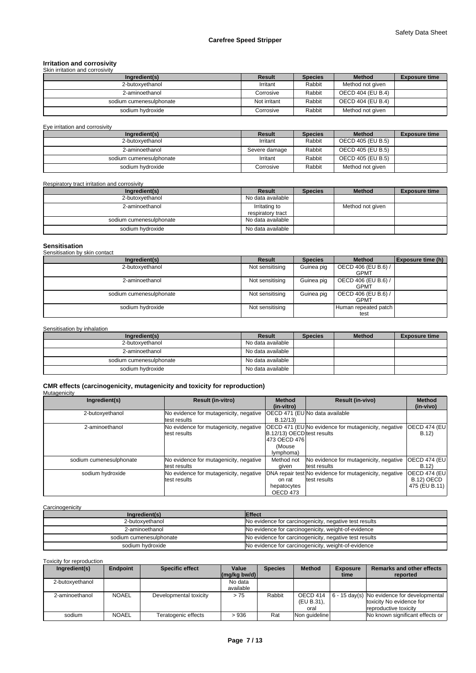# **Irritation and corrosivity** Skin irritation and corrosivity

| Ingredient(s)           | Result       | <b>Species</b> | <b>Method</b>     | <b>Exposure time</b> |
|-------------------------|--------------|----------------|-------------------|----------------------|
| 2-butoxvethanol         | Irritant     | Rabbit         | Method not given  |                      |
| 2-aminoethanol          | Corrosive    | Rabbit         | OECD 404 (EU B.4) |                      |
| sodium cumenesulphonate | Not irritant | Rabbit         | OECD 404 (EU B.4) |                      |
| sodium hvdroxide        | Corrosive    | Rabbit         | Method not given  |                      |

Eye irritation and corrosivity

| Ingredient(s)           | Result        | <b>Species</b> | <b>Method</b>     | <b>Exposure time</b> |
|-------------------------|---------------|----------------|-------------------|----------------------|
| 2-butoxyethanol         | Irritant      | Rabbit         | OECD 405 (EU B.5) |                      |
| 2-aminoethanol          | Severe damage | Rabbit         | OECD 405 (EU B.5) |                      |
| sodium cumenesulphonate | Irritant      | Rabbit         | OECD 405 (EU B.5) |                      |
| sodium hydroxide        | Corrosive     | Rabbit         | Method not given  |                      |

Respiratory tract irritation and corrosivity

| Ingredient(s)           | Result                             | <b>Species</b> | <b>Method</b>    | <b>Exposure time</b> |
|-------------------------|------------------------------------|----------------|------------------|----------------------|
| 2-butoxyethanol         | No data available                  |                |                  |                      |
| 2-aminoethanol          | Irritating to<br>respiratory tract |                | Method not given |                      |
| sodium cumenesulphonate | No data available                  |                |                  |                      |
| sodium hydroxide        | No data available                  |                |                  |                      |

| <b>Sensitisation</b><br>Sensitisation by skin contact |                 |                |                                    |                          |
|-------------------------------------------------------|-----------------|----------------|------------------------------------|--------------------------|
| Ingredient(s)                                         | Result          | <b>Species</b> | <b>Method</b>                      | <b>Exposure time (h)</b> |
| 2-butoxyethanol                                       | Not sensitising | Guinea pig     | OECD 406 (EU B.6) /<br><b>GPMT</b> |                          |
| 2-aminoethanol                                        | Not sensitising | Guinea pig     | OECD 406 (EU B.6) /<br><b>GPMT</b> |                          |
| sodium cumenesulphonate                               | Not sensitising | Guinea pig     | OECD 406 (EU B.6) /<br><b>GPMT</b> |                          |
| sodium hydroxide                                      | Not sensitising |                | Human repeated patch  <br>test     |                          |

Sensitisation by inhalation

| Ingredient(s)           | Result            | <b>Species</b> | <b>Method</b> | <b>Exposure time</b> |
|-------------------------|-------------------|----------------|---------------|----------------------|
| 2-butoxvethanol         | No data available |                |               |                      |
| 2-aminoethanol          | No data available |                |               |                      |
| sodium cumenesulphonate | No data available |                |               |                      |
| sodium hvdroxide        | No data available |                |               |                      |

**CMR effects (carcinogenicity, mutagenicity and toxicity for reproduction)**

Mutagenicity

| Ingredient(s)           | <b>Result (in-vitro)</b>                               | <b>Method</b><br>(in-vitro)                                         | <b>Result (in-vivo)</b>                                                | <b>Method</b><br>(in-vivo)                          |
|-------------------------|--------------------------------------------------------|---------------------------------------------------------------------|------------------------------------------------------------------------|-----------------------------------------------------|
| 2-butoxyethanol         | No evidence for mutagenicity, negative<br>test results | B.12/13                                                             | IOECD 471 (EUINo data available                                        |                                                     |
| 2-aminoethanol          | No evidence for mutagenicity, negative<br>test results | B.12/13) OECD test results<br>1473 OECD 4761<br>(Mouse<br>lymphoma) | OECD 471 (EU No evidence for mutagenicity, negative                    | OECD 474 (EU<br>B.12                                |
| sodium cumenesulphonate | No evidence for mutagenicity, negative<br>test results | Method not<br>aiven                                                 | No evidence for mutagenicity, negative<br>test results                 | <b>OECD 474 (EU)</b><br>B.12)                       |
| sodium hydroxide        | No evidence for mutagenicity, negative<br>test results | on rat<br>hepatocytes<br>OECD 473                                   | DNA repair test No evidence for mutagenicity, negative<br>test results | <b>OECD 474 (EU)</b><br>B.12) OECD<br>475 (EU B.11) |

**Carcinogenicity** 

| Ingredient(s)           | <b>Effect</b>                                          |
|-------------------------|--------------------------------------------------------|
| 2-butoxvethanol         | No evidence for carcinogenicity, negative test results |
| 2-aminoethanol          | No evidence for carcinogenicity, weight-of-evidence    |
| sodium cumenesulphonate | No evidence for carcinogenicity, negative test results |
| sodium hvdroxide        | No evidence for carcinogenicity, weight-of-evidence    |

Toxicity for reproduction

| Ingredient(s)   | Endpoint     | <b>Specific effect</b> | Value                                            | <b>Species</b> | <b>Method</b> | <b>Exposure</b> | <b>Remarks and other effects</b>                            |
|-----------------|--------------|------------------------|--------------------------------------------------|----------------|---------------|-----------------|-------------------------------------------------------------|
|                 |              |                        | $\left \frac{\text{mg}}{\text{kg}}\right $ bw/d) |                |               | time            | reported                                                    |
| 2-butoxyethanol |              |                        | No data                                          |                |               |                 |                                                             |
|                 |              |                        | available                                        |                |               |                 |                                                             |
| 2-aminoethanol  | <b>NOAEL</b> | Developmental toxicity | >75                                              | Rabbit         |               |                 | OECD 414 $\mid$ 6 - 15 day(s) No evidence for developmental |
|                 |              |                        |                                                  |                | (EU B.31),    |                 | toxicity No evidence for                                    |
|                 |              |                        |                                                  |                | oral          |                 | reproductive toxicity                                       |
| sodium          | <b>NOAEL</b> | Teratogenic effects    | >936                                             | Rat            | Non quideline |                 | No known significant effects or                             |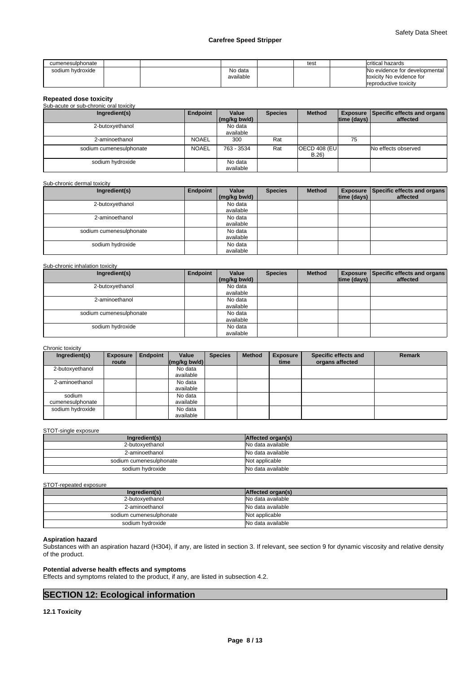| cumenesulphonate |  |                      | test | Icritical hazards                                         |
|------------------|--|----------------------|------|-----------------------------------------------------------|
| sodium hydroxide |  | No data<br>available |      | No evidence for developmental<br>toxicity No evidence for |
|                  |  |                      |      | reproductive toxicity                                     |

| <b>Repeated dose toxicity</b>          |              |                       |                |                              |                    |                                                  |
|----------------------------------------|--------------|-----------------------|----------------|------------------------------|--------------------|--------------------------------------------------|
| Sub-acute or sub-chronic oral toxicity |              |                       |                |                              |                    |                                                  |
| Ingredient(s)                          | Endpoint     | Value<br>(mg/kg bw/d) | <b>Species</b> | <b>Method</b>                | $ time$ (days) $ $ | Exposure Specific effects and organs<br>affected |
| 2-butoxyethanol                        |              | No data<br>available  |                |                              |                    |                                                  |
| 2-aminoethanol                         | <b>NOAEL</b> | 300                   | Rat            |                              | 75                 |                                                  |
| sodium cumenesulphonate                | <b>NOAEL</b> | 763 - 3534            | Rat            | <b>OECD 408 (EU)</b><br>B.26 |                    | No effects observed                              |
| sodium hydroxide                       |              | No data<br>available  |                |                              |                    |                                                  |

#### Sub-chronic dermal toxicity

| Ingredient(s)           | Endpoint | Value<br>(mg/kg bw/d) | <b>Species</b> | <b>Method</b> | $ time$ (days) $ $ | Exposure Specific effects and organs<br>affected |
|-------------------------|----------|-----------------------|----------------|---------------|--------------------|--------------------------------------------------|
| 2-butoxyethanol         |          | No data<br>available  |                |               |                    |                                                  |
| 2-aminoethanol          |          | No data<br>available  |                |               |                    |                                                  |
| sodium cumenesulphonate |          | No data<br>available  |                |               |                    |                                                  |
| sodium hydroxide        |          | No data<br>available  |                |               |                    |                                                  |

#### Sub-chronic inhalation toxicity

| Ingredient(s)           | Endpoint | Value        | <b>Species</b> | <b>Method</b> |                             | Exposure Specific effects and organs |
|-------------------------|----------|--------------|----------------|---------------|-----------------------------|--------------------------------------|
|                         |          | (mg/kg bw/d) |                |               | $\vert$ time (days) $\vert$ | affected                             |
| 2-butoxyethanol         |          | No data      |                |               |                             |                                      |
|                         |          | available    |                |               |                             |                                      |
| 2-aminoethanol          |          | No data      |                |               |                             |                                      |
|                         |          | available    |                |               |                             |                                      |
| sodium cumenesulphonate |          | No data      |                |               |                             |                                      |
|                         |          | available    |                |               |                             |                                      |
| sodium hydroxide        |          | No data      |                |               |                             |                                      |
|                         |          | available    |                |               |                             |                                      |

### Chronic toxicity

| Ingredient(s)    | <b>Exposure</b> | <b>Endpoint</b> | Value                                            | <b>Species</b> | <b>Method</b> | <b>Exposure</b> | Specific effects and | <b>Remark</b> |
|------------------|-----------------|-----------------|--------------------------------------------------|----------------|---------------|-----------------|----------------------|---------------|
|                  | route           |                 | $\left \frac{\text{mg}}{\text{kg}}\right $ bw/d) |                |               | time            | organs affected      |               |
| 2-butoxyethanol  |                 |                 | No data                                          |                |               |                 |                      |               |
|                  |                 |                 | available                                        |                |               |                 |                      |               |
| 2-aminoethanol   |                 |                 | No data                                          |                |               |                 |                      |               |
|                  |                 |                 | available                                        |                |               |                 |                      |               |
| sodium           |                 |                 | No data                                          |                |               |                 |                      |               |
| cumenesulphonate |                 |                 | available                                        |                |               |                 |                      |               |
| sodium hydroxide |                 |                 | No data                                          |                |               |                 |                      |               |
|                  |                 |                 | available                                        |                |               |                 |                      |               |

#### STOT-single exposure

| Ingredient(s)           | Affected organ(s) |
|-------------------------|-------------------|
| 2-butoxvethanol         | No data available |
| 2-aminoethanol          | No data available |
| sodium cumenesulphonate | Not applicable    |
| sodium hydroxide        | No data available |

#### STOT-repeated exposure

| Ingredient(s)           | Affected organ(s) |
|-------------------------|-------------------|
| 2-butoxyethanol         | No data available |
| 2-aminoethanol          | No data available |
| sodium cumenesulphonate | Not applicable    |
| sodium hydroxide        | No data available |

#### **Aspiration hazard**

Substances with an aspiration hazard (H304), if any, are listed in section 3. If relevant, see section 9 for dynamic viscosity and relative density of the product.

### **Potential adverse health effects and symptoms**

Effects and symptoms related to the product, if any, are listed in subsection 4.2.

## **SECTION 12: Ecological information**

**12.1 Toxicity**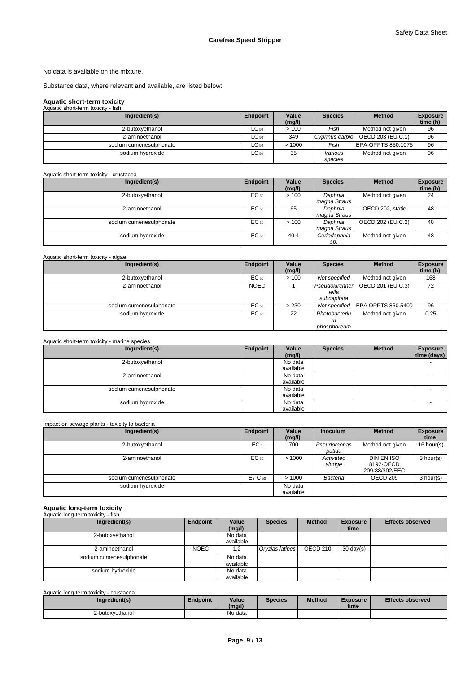No data is available on the mixture.

Substance data, where relevant and available, are listed below:

## **Aquatic short-term toxicity**

| Aquatic short-term toxicity - fish |           |                 |                    |                                   |                             |
|------------------------------------|-----------|-----------------|--------------------|-----------------------------------|-----------------------------|
| Ingredient(s)                      | Endpoint  | Value<br>(mg/l) | <b>Species</b>     | <b>Method</b>                     | <b>Exposure</b><br>time (h) |
| 2-butoxyethanol                    | $LC_{50}$ | >100            | Fish               | Method not given                  | 96                          |
| 2-aminoethanol                     | $LC_{50}$ | 349             |                    | Cyprinus carpio OECD 203 (EU C.1) | 96                          |
| sodium cumenesulphonate            | $LC_{50}$ | >1000           | Fish               | EPA-OPPTS 850.1075                | 96                          |
| sodium hydroxide                   | $LC_{50}$ | 35              | Various<br>species | Method not given                  | 96                          |

| Aquatic short-term toxicity - crustacea |          |                 |                         |                   |                             |
|-----------------------------------------|----------|-----------------|-------------------------|-------------------|-----------------------------|
| Ingredient(s)                           | Endpoint | Value<br>(mg/l) | <b>Species</b>          | <b>Method</b>     | <b>Exposure</b><br>time (h) |
| 2-butoxyethanol                         | EC 50    | >100            | Daphnia<br>magna Straus | Method not given  | 24                          |
| 2-aminoethanol                          | EC 50    | 65              | Daphnia<br>magna Straus | OECD 202, static  | 48                          |
| sodium cumenesulphonate                 | EC 50    | >100            | Daphnia<br>magna Straus | OECD 202 (EU C.2) | 48                          |
| sodium hydroxide                        | EC 50    | 40.4            | Ceriodaphnia<br>sp.     | Method not given  | 48                          |

| Aquatic short-term toxicity - algae |             |                 |                                        |                    |                             |
|-------------------------------------|-------------|-----------------|----------------------------------------|--------------------|-----------------------------|
| Ingredient(s)                       | Endpoint    | Value<br>(mg/l) | <b>Species</b>                         | <b>Method</b>      | <b>Exposure</b><br>time (h) |
| 2-butoxyethanol                     | EC 50       | >100            | Not specified                          | Method not given   | 168                         |
| 2-aminoethanol                      | <b>NOEC</b> |                 | Pseudokirchner<br>iella<br>subcapitata | OECD 201 (EU C.3)  | 72                          |
| sodium cumenesulphonate             | EC 50       | > 230           | Not specified                          | EPA OPPTS 850.5400 | 96                          |
| sodium hydroxide                    | EC 50       | 22              | Photobacteriu<br>m<br>phosphoreum      | Method not given   | 0.25                        |

| Aquatic short-term toxicity - marine species |          |                      |                |               |                                |
|----------------------------------------------|----------|----------------------|----------------|---------------|--------------------------------|
| Ingredient(s)                                | Endpoint | Value<br>(mg/l)      | <b>Species</b> | <b>Method</b> | <b>Exposure</b><br>time (days) |
| 2-butoxyethanol                              |          | No data<br>available |                |               |                                |
| 2-aminoethanol                               |          | No data<br>available |                |               |                                |
| sodium cumenesulphonate                      |          | No data<br>available |                |               |                                |
| sodium hydroxide                             |          | No data<br>available |                |               |                                |

| Impact on sewage plants - toxicity to bacteria |
|------------------------------------------------|
|------------------------------------------------|

| Ingredient(s)           | Endpoint                       | Value<br>(mg/l)      | <b>Inoculum</b>       | <b>Method</b>                             | <b>Exposure</b><br>time |
|-------------------------|--------------------------------|----------------------|-----------------------|-------------------------------------------|-------------------------|
| 2-butoxyethanol         | EC <sub>o</sub>                | 700                  | Pseudomonas<br>putida | Method not given                          | 16 hour(s)              |
| 2-aminoethanol          | EC 50                          | >1000                | Activated<br>sludge   | DIN EN ISO<br>8192-OECD<br>209-88/302/EEC | 3 hour(s)               |
| sodium cumenesulphonate | E <sub>r</sub> C <sub>50</sub> | >1000                | Bacteria              | OECD 209                                  | 3 hour(s)               |
| sodium hydroxide        |                                | No data<br>available |                       |                                           |                         |

# **Aquatic long-term toxicity** Aquatic long-term toxicity - fish

| <b>Aguatic IDIIG-term toxicity - IISH</b> |             |           |                 |               |                     |                         |
|-------------------------------------------|-------------|-----------|-----------------|---------------|---------------------|-------------------------|
| Ingredient(s)                             | Endpoint    | Value     | <b>Species</b>  | <b>Method</b> | <b>Exposure</b>     | <b>Effects observed</b> |
|                                           |             | (mg/l)    |                 |               | time                |                         |
| 2-butoxyethanol                           |             | No data   |                 |               |                     |                         |
|                                           |             | available |                 |               |                     |                         |
| 2-aminoethanol                            | <b>NOEC</b> | 1.2       | Oryzias latipes | OECD 210      | $30 \text{ day(s)}$ |                         |
| sodium cumenesulphonate                   |             | No data   |                 |               |                     |                         |
|                                           |             | available |                 |               |                     |                         |
| sodium hydroxide                          |             | No data   |                 |               |                     |                         |
|                                           |             | available |                 |               |                     |                         |

## Aquatic long-term toxicity - crustacea

| Ingredient(s)   | <b>Endpoint</b> | Value<br>(mq/l) | <b>Species</b> | <b>Method</b> | <b>Exposure</b><br>time | <b>Effects observed</b> |
|-----------------|-----------------|-----------------|----------------|---------------|-------------------------|-------------------------|
| 2-butoxyethanol |                 | No data         |                |               |                         |                         |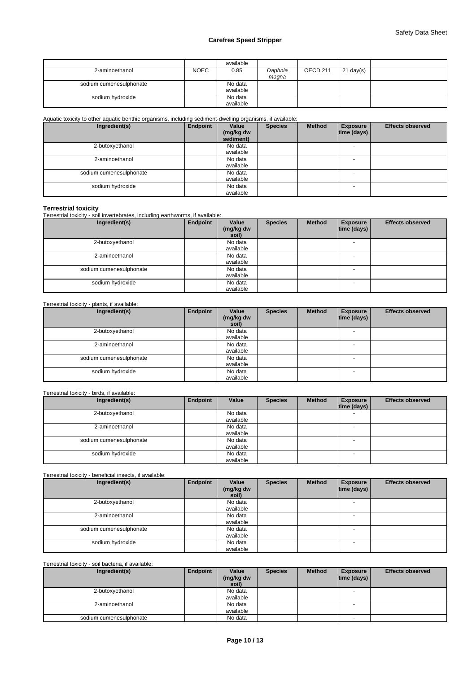|                         |             | available |         |                     |             |  |
|-------------------------|-------------|-----------|---------|---------------------|-------------|--|
| 2-aminoethanol          | <b>NOEC</b> | 0.85      | Daphnia | OECD <sub>211</sub> | $21$ day(s) |  |
|                         |             |           | maqna   |                     |             |  |
| sodium cumenesulphonate |             | No data   |         |                     |             |  |
|                         |             | available |         |                     |             |  |
| sodium hydroxide        |             | No data   |         |                     |             |  |
|                         |             | available |         |                     |             |  |

Aquatic toxicity to other aquatic benthic organisms, including sediment-dwelling organisms, if available:

| Ingredient(s)           | Endpoint | Value<br>(mg/kg dw<br>sediment) | <b>Species</b> | <b>Method</b> | <b>Exposure</b><br>$ time$ (days) $ $ | <b>Effects observed</b> |
|-------------------------|----------|---------------------------------|----------------|---------------|---------------------------------------|-------------------------|
| 2-butoxyethanol         |          | No data<br>available            |                |               |                                       |                         |
| 2-aminoethanol          |          | No data<br>available            |                |               |                                       |                         |
| sodium cumenesulphonate |          | No data<br>available            |                |               |                                       |                         |
| sodium hydroxide        |          | No data<br>available            |                |               | <b>.</b>                              |                         |

**Terrestrial toxicity** Terrestrial toxicity - soil invertebrates, including earthworms, if available:

| Ingredient(s)           | Endpoint | Value<br>(mg/kg dw<br>soil) | <b>Species</b> | <b>Method</b> | <b>Exposure</b><br> time (days) | <b>Effects observed</b> |
|-------------------------|----------|-----------------------------|----------------|---------------|---------------------------------|-------------------------|
| 2-butoxyethanol         |          | No data<br>available        |                |               | <b>.</b>                        |                         |
| 2-aminoethanol          |          | No data<br>available        |                |               |                                 |                         |
| sodium cumenesulphonate |          | No data<br>available        |                |               | <b>.</b>                        |                         |
| sodium hydroxide        |          | No data<br>available        |                |               |                                 |                         |

## Terrestrial toxicity - plants, if available:

| Ingredient(s)           | Endpoint | Value<br>(mg/kg dw<br>soil) | <b>Species</b> | <b>Method</b> | <b>Exposure</b><br> time (days) | <b>Effects observed</b> |
|-------------------------|----------|-----------------------------|----------------|---------------|---------------------------------|-------------------------|
| 2-butoxyethanol         |          | No data<br>available        |                |               | $\overline{\phantom{a}}$        |                         |
| 2-aminoethanol          |          | No data<br>available        |                |               |                                 |                         |
| sodium cumenesulphonate |          | No data<br>available        |                |               |                                 |                         |
| sodium hydroxide        |          | No data<br>available        |                |               | <b>.</b>                        |                         |

### Terrestrial toxicity - birds, if available:

| Ingredient(s)           | Endpoint | Value     | <b>Species</b> | <b>Method</b> | <b>Exposure</b><br> time (days) | <b>Effects observed</b> |
|-------------------------|----------|-----------|----------------|---------------|---------------------------------|-------------------------|
| 2-butoxyethanol         |          | No data   |                |               |                                 |                         |
|                         |          | available |                |               |                                 |                         |
| 2-aminoethanol          |          | No data   |                |               |                                 |                         |
|                         |          | available |                |               |                                 |                         |
| sodium cumenesulphonate |          | No data   |                |               |                                 |                         |
|                         |          | available |                |               |                                 |                         |
| sodium hydroxide        |          | No data   |                |               |                                 |                         |
|                         |          | available |                |               |                                 |                         |

Terrestrial toxicity - beneficial insects, if available:

| Ingredient(s)           | Endpoint | Value<br>(mg/kg dw<br>soil) | <b>Species</b> | <b>Method</b> | <b>Exposure</b><br> time (days) | <b>Effects observed</b> |
|-------------------------|----------|-----------------------------|----------------|---------------|---------------------------------|-------------------------|
| 2-butoxyethanol         |          | No data                     |                |               |                                 |                         |
|                         |          | available                   |                |               |                                 |                         |
| 2-aminoethanol          |          | No data                     |                |               |                                 |                         |
|                         |          | available                   |                |               |                                 |                         |
| sodium cumenesulphonate |          | No data                     |                |               |                                 |                         |
|                         |          | available                   |                |               |                                 |                         |
| sodium hydroxide        |          | No data                     |                |               | $\overline{\phantom{a}}$        |                         |
|                         |          | available                   |                |               |                                 |                         |

### Terrestrial toxicity - soil bacteria, if available:

| Ingredient(s)           | Endpoint | Value              | <b>Species</b> | <b>Method</b> | <b>Exposure</b> | <b>Effects observed</b> |
|-------------------------|----------|--------------------|----------------|---------------|-----------------|-------------------------|
|                         |          | (mg/kg dw<br>soil) |                |               | time (days)     |                         |
| 2-butoxyethanol         |          | No data            |                |               |                 |                         |
|                         |          | available          |                |               |                 |                         |
| 2-aminoethanol          |          | No data            |                |               |                 |                         |
|                         |          | available          |                |               |                 |                         |
| sodium cumenesulphonate |          | No data            |                |               |                 |                         |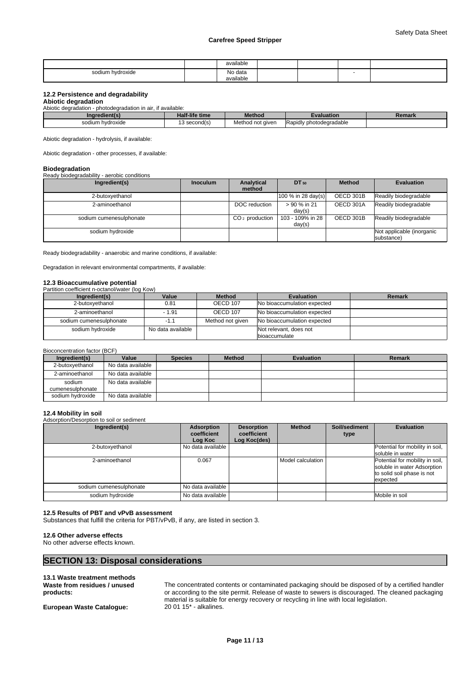|                  | available<br>. |  |  |
|------------------|----------------|--|--|
| sodium hvdroxide | No data        |  |  |
|                  | .<br>available |  |  |

### **12.2 Persistence and degradability**

### **Abiotic degradation**

Abiotic degradation - photodegradation in air, if available:

| Indredient(s)              | <b>Half-life time</b> | <b>Method</b>    | valuation                    | Remark |  |  |  |  |  |  |  |
|----------------------------|-----------------------|------------------|------------------------------|--------|--|--|--|--|--|--|--|
| า hvdroxide<br>sodium<br>. | l second(s)           | Method not given | Rapidly<br>v photodegradable |        |  |  |  |  |  |  |  |

Abiotic degradation - hydrolysis, if available:

Abiotic degradation - other processes, if available:

#### **Biodegradation**

#### Ready biodegradability - aerobic conditions

| Ingredient(s)           | <b>Inoculum</b> | Analytical       | DT 50                      | <b>Method</b> | <b>Evaluation</b>                       |
|-------------------------|-----------------|------------------|----------------------------|---------------|-----------------------------------------|
|                         |                 | method           |                            |               |                                         |
| 2-butoxyethanol         |                 |                  | 100 % in 28 day(s)         | OECD 301B     | Readily biodegradable                   |
| 2-aminoethanol          |                 | DOC reduction    | > 90 % in 21<br>day(s)     | OECD 301A     | Readily biodegradable                   |
| sodium cumenesulphonate |                 | $CO2$ production | 103 - 109% in 28<br>day(s) | OECD 301B     | Readily biodegradable                   |
| sodium hydroxide        |                 |                  |                            |               | Not applicable (inorganic<br>substance) |

Ready biodegradability - anaerobic and marine conditions, if available:

Degradation in relevant environmental compartments, if available:

#### **12.3 Bioaccumulative potential**

#### Partition coefficient n-octanol/water (log Kow)

| Ingredient(s)           | Value             | <b>Method</b>    | <b>Evaluation</b>           | Remark |
|-------------------------|-------------------|------------------|-----------------------------|--------|
| 2-butoxvethanol         | 0.81              | OECD 107         | No bioaccumulation expected |        |
| 2-aminoethanol          | $-1.91$           | <b>OECD 107</b>  | No bioaccumulation expected |        |
| sodium cumenesulphonate |                   | Method not given | No bioaccumulation expected |        |
| sodium hydroxide        | No data available |                  | Not relevant, does not      |        |
|                         |                   |                  | bioaccumulate               |        |

#### Bioconcentration factor (BCF)

| Ingredient(s)    | Value             | <b>Species</b> | <b>Method</b> | <b>Evaluation</b> | Remark |
|------------------|-------------------|----------------|---------------|-------------------|--------|
| 2-butoxyethanol  | No data available |                |               |                   |        |
| 2-aminoethanol   | No data available |                |               |                   |        |
| sodium           | No data available |                |               |                   |        |
| cumenesulphonate |                   |                |               |                   |        |
| sodium hvdroxide | No data available |                |               |                   |        |

**12.4 Mobility in soil** Adsorption/Desorption to soil or sediment

| Ingredient(s)           | Adsorption<br>coefficient<br>Log Koc | <b>Desorption</b><br>coefficient<br>Log Koc(des) | <b>Method</b>     | Soil/sediment<br>type | <b>Evaluation</b>                                                                                        |
|-------------------------|--------------------------------------|--------------------------------------------------|-------------------|-----------------------|----------------------------------------------------------------------------------------------------------|
| 2-butoxyethanol         | No data available                    |                                                  |                   |                       | Potential for mobility in soil,<br>soluble in water                                                      |
| 2-aminoethanol          | 0.067                                |                                                  | Model calculation |                       | Potential for mobility in soil,<br>soluble in water Adsorption<br>to solid soil phase is not<br>expected |
| sodium cumenesulphonate | No data available                    |                                                  |                   |                       |                                                                                                          |
| sodium hydroxide        | No data available                    |                                                  |                   |                       | Mobile in soil                                                                                           |

### **12.5 Results of PBT and vPvB assessment**

Substances that fulfill the criteria for PBT/vPvB, if any, are listed in section 3.

#### **12.6 Other adverse effects**

No other adverse effects known.

## **SECTION 13: Disposal considerations**

#### **13.1 Waste treatment methods Waste from residues / unused products:**

**European Waste Catalogue:** 

The concentrated contents or contaminated packaging should be disposed of by a certified handler or according to the site permit. Release of waste to sewers is discouraged. The cleaned packaging material is suitable for energy recovery or recycling in line with local legislation.<br>20 01 15\* - alkalines.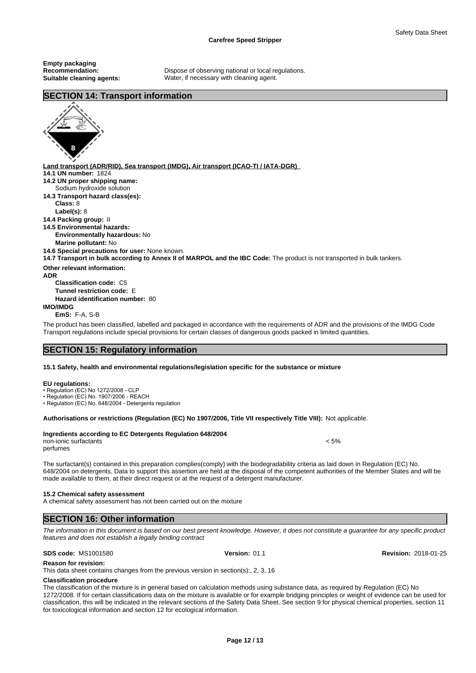**Empty packaging**

**Recommendation:** Dispose of observing national or local regulations. **Suitable cleaning agents:** Water, if necessary with cleaning agent.

## **SECTION 14: Transport information**



**Land transport (ADR/RID), Sea transport (IMDG), Air transport (ICAO-TI / IATA-DGR) 14.1 UN number:** 1824 **14.2 UN proper shipping name: 14.3 Transport hazard class(es): Class:** 8 **Label(s):** 8 **14.4 Packing group:** II **14.5 Environmental hazards: Environmentally hazardous:** No **Marine pollutant:** No **14.6 Special precautions for user:** None known. **14.7 Transport in bulk according to Annex II of MARPOL and the IBC Code:** The product is not transported in bulk tankers. **Other relevant information: ADR Classification code:** C5 **Tunnel restriction code:** E **Hazard identification number:** 80 Sodium hydroxide solution

**IMO/IMDG**

**EmS:** F-A, S-B

The product has been classified, labelled and packaged in accordance with the requirements of ADR and the provisions of the IMDG Code Transport regulations include special provisions for certain classes of dangerous goods packed in limited quantities.

## **SECTION 15: Regulatory information**

#### **15.1 Safety, health and environmental regulations/legislation specific for the substance or mixture**

#### **EU regulations:**

• Regulation (EC) No 1272/2008 - CLP

• Regulation (EC) No. 1907/2006 - REACH

• Regulation (EC) No. 648/2004 - Detergents regulation

#### **Authorisations or restrictions (Regulation (EC) No 1907/2006, Title VII respectively Title VIII):** Not applicable.

| Ingredients according to EC Detergents Regulation 648/2004 |  |
|------------------------------------------------------------|--|
|------------------------------------------------------------|--|

non-ionic surfactants < 5% perfumes

The surfactant(s) contained in this preparation complies(comply) with the biodegradability criteria as laid down in Regulation (EC) No. 648/2004 on detergents. Data to support this assertion are held at the disposal of the competent authorities of the Member States and will be made available to them, at their direct request or at the request of a detergent manufacturer.

#### **15.2 Chemical safety assessment**

A chemical safety assessment has not been carried out on the mixture

## **SECTION 16: Other information**

*The information in this document is based on our best present knowledge. However, it does not constitute a guarantee for any specific product features and does not establish a legally binding contract*

#### **SDS code:** MS1001580 **Version:** 01.1 **Revision:** 2018-01-25

**Reason for revision:**

This data sheet contains changes from the previous version in section(s):, 2, 3, 16

## **Classification procedure**

The classification of the mixture is in general based on calculation methods using substance data, as required by Regulation (EC) No 1272/2008. If for certain classifications data on the mixture is available or for example bridging principles or weight of evidence can be used for classification, this will be indicated in the relevant sections of the Safety Data Sheet. See section 9 for physical chemical properties, section 11 for toxicological information and section 12 for ecological information.